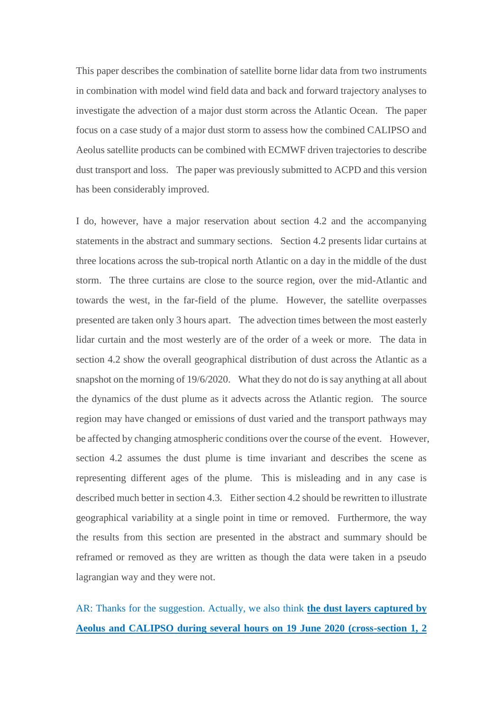This paper describes the combination of satellite borne lidar data from two instruments in combination with model wind field data and back and forward trajectory analyses to investigate the advection of a major dust storm across the Atlantic Ocean. The paper focus on a case study of a major dust storm to assess how the combined CALIPSO and Aeolus satellite products can be combined with ECMWF driven trajectories to describe dust transport and loss. The paper was previously submitted to ACPD and this version has been considerably improved.

I do, however, have a major reservation about section 4.2 and the accompanying statements in the abstract and summary sections. Section 4.2 presents lidar curtains at three locations across the sub-tropical north Atlantic on a day in the middle of the dust storm. The three curtains are close to the source region, over the mid-Atlantic and towards the west, in the far-field of the plume. However, the satellite overpasses presented are taken only 3 hours apart. The advection times between the most easterly lidar curtain and the most westerly are of the order of a week or more. The data in section 4.2 show the overall geographical distribution of dust across the Atlantic as a snapshot on the morning of 19/6/2020. What they do not do is say anything at all about the dynamics of the dust plume as it advects across the Atlantic region. The source region may have changed or emissions of dust varied and the transport pathways may be affected by changing atmospheric conditions over the course of the event. However, section 4.2 assumes the dust plume is time invariant and describes the scene as representing different ages of the plume. This is misleading and in any case is described much better in section 4.3. Either section 4.2 should be rewritten to illustrate geographical variability at a single point in time or removed. Furthermore, the way the results from this section are presented in the abstract and summary should be reframed or removed as they are written as though the data were taken in a pseudo lagrangian way and they were not.

AR: Thanks for the suggestion. Actually, we also think **the dust layers captured by Aeolus and CALIPSO during several hours on 19 June 2020 (cross-section 1, 2**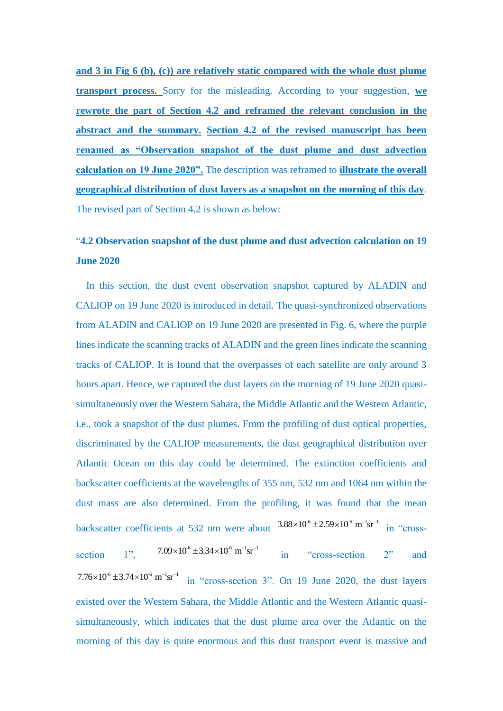**and 3 in Fig 6 (b), (c)) are relatively static compared with the whole dust plume transport process.** Sorry for the misleading. According to your suggestion, **we rewrote the part of Section 4.2 and reframed the relevant conclusion in the abstract and the summary. Section 4.2 of the revised manuscript has been renamed as "Observation snapshot of the dust plume and dust advection calculation on 19 June 2020".** The description was reframed to **illustrate the overall geographical distribution of dust layers as a snapshot on the morning of this day**. The revised part of Section 4.2 is shown as below:

## "**4.2 Observation snapshot of the dust plume and dust advection calculation on 19 June 2020**

In this section, the dust event observation snapshot captured by ALADIN and CALIOP on 19 June 2020 is introduced in detail. The quasi-synchronized observations from ALADIN and CALIOP on 19 June 2020 are presented in Fig. 6, where the purple lines indicate the scanning tracks of ALADIN and the green lines indicate the scanning tracks of CALIOP. It is found that the overpasses of each satellite are only around 3 hours apart. Hence, we captured the dust layers on the morning of 19 June 2020 quasisimultaneously over the Western Sahara, the Middle Atlantic and the Western Atlantic, i.e., took a snapshot of the dust plumes. From the profiling of dust optical properties, discriminated by the CALIOP measurements, the dust geographical distribution over Atlantic Ocean on this day could be determined. The extinction coefficients and backscatter coefficients at the wavelengths of 355 nm, 532 nm and 1064 nm within the dust mass are also determined. From the profiling, it was found that the mean backscatter coefficients at 532 nm were about  $3.88 \times 10^{6} \pm 2.59 \times 10^{6} \text{ m}^{-1} \text{sr}^{-1}$  in "crosssection  $7.09 \times 10^6 \pm 3.34 \times 10^6 \text{ m}^{-1} \text{sr}^{-1}$  in "cross-section 2" and  $7.76 \times 10^{6} \pm 3.74 \times 10^{6} \text{ m}^{-1} \text{sr}^{-1}$  in "cross-section 3". On 19 June 2020, the dust layers existed over the Western Sahara, the Middle Atlantic and the Western Atlantic quasisimultaneously, which indicates that the dust plume area over the Atlantic on the morning of this day is quite enormous and this dust transport event is massive and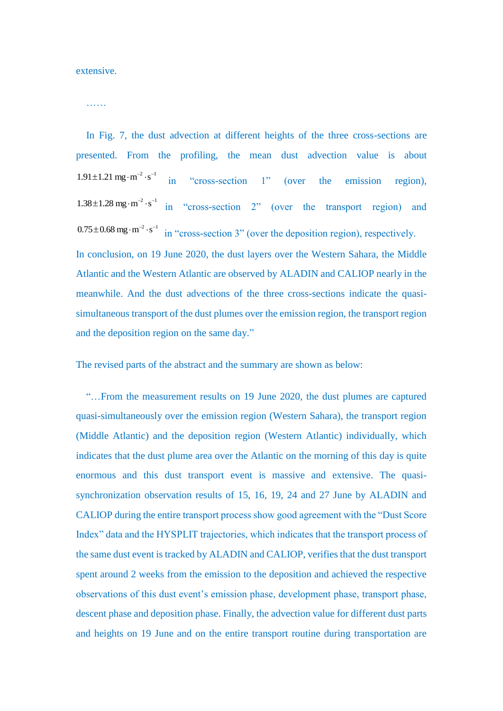extensive.

……

In Fig. 7, the dust advection at different heights of the three cross-sections are presented. From the profiling, the mean dust advection value is about  $1.91 \pm 1.21$  mg · m<sup>-2</sup> · s<sup>-1</sup> in "cross-section 1" (over the emission region),  $1.38 \pm 1.28$  mg·m<sup>-2</sup>·s<sup>-1</sup> in "cross-section 2" (over the transport region) and  $0.75\pm0.68$  mg  $\cdot$   $\mathrm{m}^{-2}\cdot\mathrm{s}^{-1}$ in "cross-section 3" (over the deposition region), respectively. In conclusion, on 19 June 2020, the dust layers over the Western Sahara, the Middle Atlantic and the Western Atlantic are observed by ALADIN and CALIOP nearly in the meanwhile. And the dust advections of the three cross-sections indicate the quasisimultaneous transport of the dust plumes over the emission region, the transport region and the deposition region on the same day."

The revised parts of the abstract and the summary are shown as below:

"…From the measurement results on 19 June 2020, the dust plumes are captured quasi-simultaneously over the emission region (Western Sahara), the transport region (Middle Atlantic) and the deposition region (Western Atlantic) individually, which indicates that the dust plume area over the Atlantic on the morning of this day is quite enormous and this dust transport event is massive and extensive. The quasisynchronization observation results of 15, 16, 19, 24 and 27 June by ALADIN and CALIOP during the entire transport process show good agreement with the "Dust Score Index" data and the HYSPLIT trajectories, which indicates that the transport process of the same dust event is tracked by ALADIN and CALIOP, verifies that the dust transport spent around 2 weeks from the emission to the deposition and achieved the respective observations of this dust event's emission phase, development phase, transport phase, descent phase and deposition phase. Finally, the advection value for different dust parts and heights on 19 June and on the entire transport routine during transportation are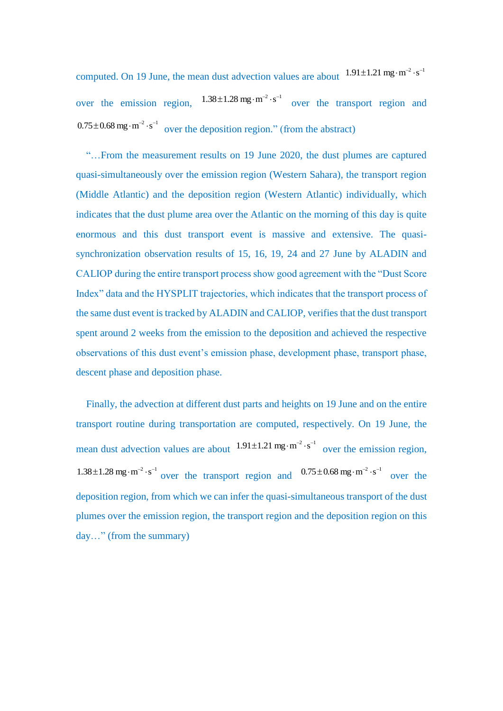computed. On 19 June, the mean dust advection values are about  $1.91 \pm 1.21$  mg $\cdot$ m<sup>-2</sup> $\cdot$ s<sup>-1</sup> over the emission region,  $1.38 \pm 1.28$  mg $\cdot$ m<sup>-2</sup> $\cdot$ s<sup>-1</sup> over the transport region and  $2.075 \pm 0.68$  mg $\cdot$ m<sup>-2</sup>  $\cdot$ s<sup>-1</sup> over the deposition region." (from the abstract)

"…From the measurement results on 19 June 2020, the dust plumes are captured quasi-simultaneously over the emission region (Western Sahara), the transport region (Middle Atlantic) and the deposition region (Western Atlantic) individually, which indicates that the dust plume area over the Atlantic on the morning of this day is quite enormous and this dust transport event is massive and extensive. The quasisynchronization observation results of 15, 16, 19, 24 and 27 June by ALADIN and CALIOP during the entire transport process show good agreement with the "Dust Score Index" data and the HYSPLIT trajectories, which indicates that the transport process of the same dust event is tracked by ALADIN and CALIOP, verifies that the dust transport spent around 2 weeks from the emission to the deposition and achieved the respective observations of this dust event's emission phase, development phase, transport phase, descent phase and deposition phase.

Finally, the advection at different dust parts and heights on 19 June and on the entire transport routine during transportation are computed, respectively. On 19 June, the mean dust advection values are about  $1.91 \pm 1.21$  mg·m<sup>-2</sup>·s<sup>-1</sup> over the emission region,  $1.38 \pm 1.28$  mg·m<sup>-2</sup>·s<sup>-1</sup> over the transport region and  $0.75 \pm 0.68$  mg·m<sup>-2</sup>·s<sup>-1</sup> over the deposition region, from which we can infer the quasi-simultaneous transport of the dust plumes over the emission region, the transport region and the deposition region on this day…" (from the summary)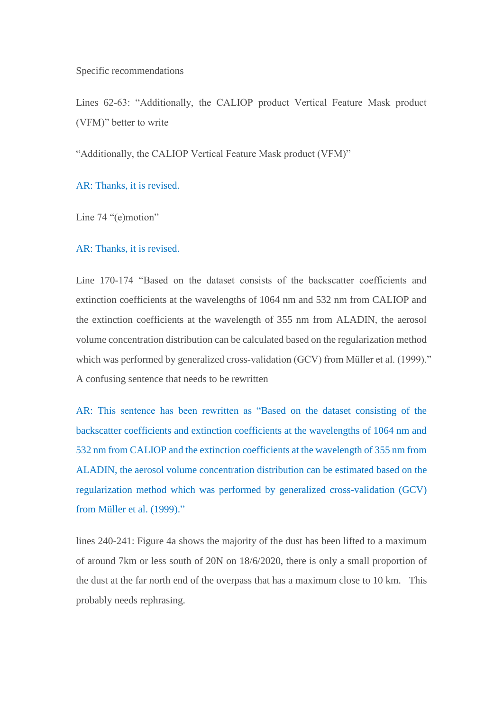Specific recommendations

Lines 62-63: "Additionally, the CALIOP product Vertical Feature Mask product (VFM)" better to write

"Additionally, the CALIOP Vertical Feature Mask product (VFM)"

AR: Thanks, it is revised.

Line 74 "(e)motion"

AR: Thanks, it is revised.

Line 170-174 "Based on the dataset consists of the backscatter coefficients and extinction coefficients at the wavelengths of 1064 nm and 532 nm from CALIOP and the extinction coefficients at the wavelength of 355 nm from ALADIN, the aerosol volume concentration distribution can be calculated based on the regularization method which was performed by generalized cross-validation (GCV) from Müller et al. (1999)." A confusing sentence that needs to be rewritten

AR: This sentence has been rewritten as "Based on the dataset consisting of the backscatter coefficients and extinction coefficients at the wavelengths of 1064 nm and 532 nm from CALIOP and the extinction coefficients at the wavelength of 355 nm from ALADIN, the aerosol volume concentration distribution can be estimated based on the regularization method which was performed by generalized cross-validation (GCV) from Müller et al. (1999)."

lines 240-241: Figure 4a shows the majority of the dust has been lifted to a maximum of around 7km or less south of 20N on 18/6/2020, there is only a small proportion of the dust at the far north end of the overpass that has a maximum close to 10 km. This probably needs rephrasing.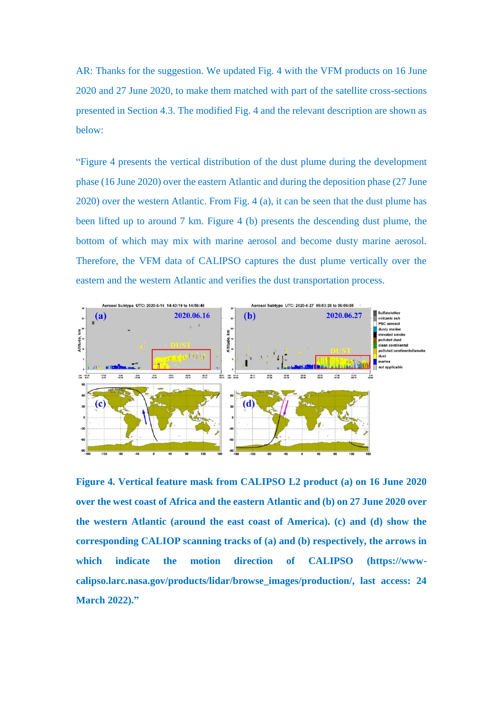AR: Thanks for the suggestion. We updated Fig. 4 with the VFM products on 16 June 2020 and 27 June 2020, to make them matched with part of the satellite cross-sections presented in Section 4.3. The modified Fig. 4 and the relevant description are shown as below:

"Figure 4 presents the vertical distribution of the dust plume during the development phase (16 June 2020) over the eastern Atlantic and during the deposition phase (27 June 2020) over the western Atlantic. From Fig. 4 (a), it can be seen that the dust plume has been lifted up to around 7 km. Figure 4 (b) presents the descending dust plume, the bottom of which may mix with marine aerosol and become dusty marine aerosol. Therefore, the VFM data of CALIPSO captures the dust plume vertically over the eastern and the western Atlantic and verifies the dust transportation process.



**Figure 4. Vertical feature mask from CALIPSO L2 product (a) on 16 June 2020 over the west coast of Africa and the eastern Atlantic and (b) on 27 June 2020 over the western Atlantic (around the east coast of America). (c) and (d) show the corresponding CALIOP scanning tracks of (a) and (b) respectively, the arrows in**  which indicate the motion direction of CALIPSO (https://www**calipso.larc.nasa.gov/products/lidar/browse\_images/production/, last access: 24 March 2022)."**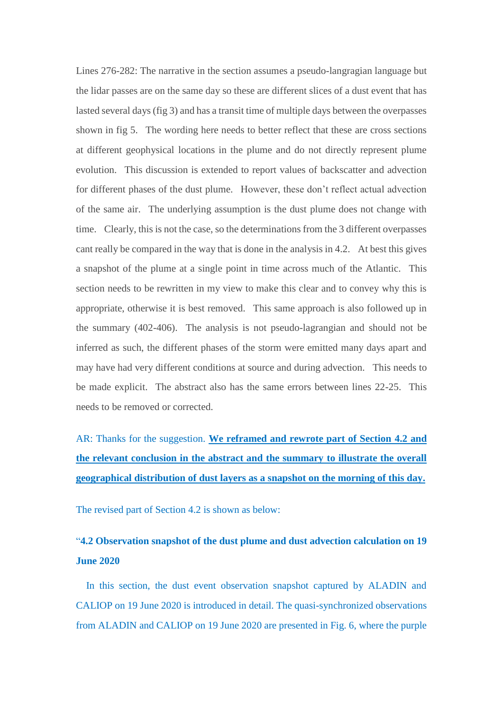Lines 276-282: The narrative in the section assumes a pseudo-langragian language but the lidar passes are on the same day so these are different slices of a dust event that has lasted several days (fig 3) and has a transit time of multiple days between the overpasses shown in fig 5. The wording here needs to better reflect that these are cross sections at different geophysical locations in the plume and do not directly represent plume evolution. This discussion is extended to report values of backscatter and advection for different phases of the dust plume. However, these don't reflect actual advection of the same air. The underlying assumption is the dust plume does not change with time. Clearly, this is not the case, so the determinations from the 3 different overpasses cant really be compared in the way that is done in the analysis in 4.2. At best this gives a snapshot of the plume at a single point in time across much of the Atlantic. This section needs to be rewritten in my view to make this clear and to convey why this is appropriate, otherwise it is best removed. This same approach is also followed up in the summary (402-406). The analysis is not pseudo-lagrangian and should not be inferred as such, the different phases of the storm were emitted many days apart and may have had very different conditions at source and during advection. This needs to be made explicit. The abstract also has the same errors between lines 22-25. This needs to be removed or corrected.

AR: Thanks for the suggestion. **We reframed and rewrote part of Section 4.2 and the relevant conclusion in the abstract and the summary to illustrate the overall geographical distribution of dust layers as a snapshot on the morning of this day.**

The revised part of Section 4.2 is shown as below:

## "**4.2 Observation snapshot of the dust plume and dust advection calculation on 19 June 2020**

In this section, the dust event observation snapshot captured by ALADIN and CALIOP on 19 June 2020 is introduced in detail. The quasi-synchronized observations from ALADIN and CALIOP on 19 June 2020 are presented in Fig. 6, where the purple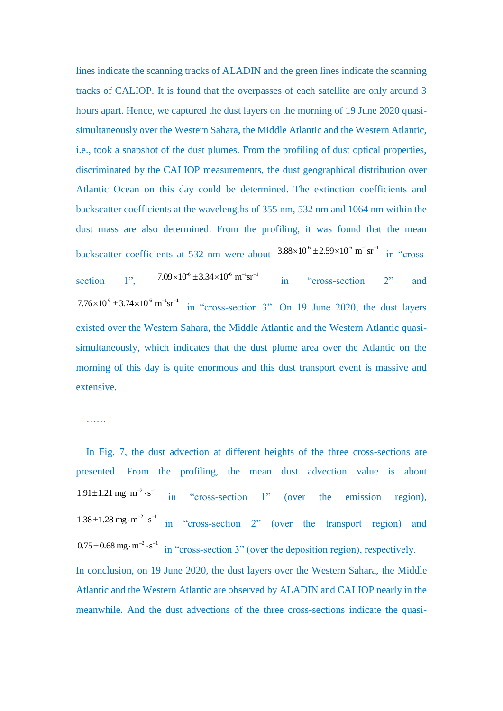lines indicate the scanning tracks of ALADIN and the green lines indicate the scanning tracks of CALIOP. It is found that the overpasses of each satellite are only around 3 hours apart. Hence, we captured the dust layers on the morning of 19 June 2020 quasisimultaneously over the Western Sahara, the Middle Atlantic and the Western Atlantic, i.e., took a snapshot of the dust plumes. From the profiling of dust optical properties, discriminated by the CALIOP measurements, the dust geographical distribution over Atlantic Ocean on this day could be determined. The extinction coefficients and backscatter coefficients at the wavelengths of 355 nm, 532 nm and 1064 nm within the dust mass are also determined. From the profiling, it was found that the mean backscatter coefficients at 532 nm were about  $3.88 \times 10^{6} \pm 2.59 \times 10^{6}$  m<sup>-1</sup>sr<sup>-1</sup> in "crosssection 1".  $7.09 \times 10^{6} \pm 3.34 \times 10^{6} \text{ m}^{-1} \text{sr}^{-1}$  in "cross-section 2" and  $7.76 \times 10^{6} \pm 3.74 \times 10^{6} \text{ m}^{-1} \text{sr}^{-1}$  in "cross-section 3". On 19 June 2020, the dust layers existed over the Western Sahara, the Middle Atlantic and the Western Atlantic quasisimultaneously, which indicates that the dust plume area over the Atlantic on the morning of this day is quite enormous and this dust transport event is massive and extensive.

## ……

In Fig. 7, the dust advection at different heights of the three cross-sections are presented. From the profiling, the mean dust advection value is about  $2.91 \pm 1.21$  mg·m<sup>-2</sup>·s<sup>-1</sup> in "cross-section 1" (over the emission region),  $1.38 \pm 1.28$  mg·m<sup>-2</sup>·s<sup>-1</sup> in "cross-section 2" (over the transport region) and  $0.75 \pm 0.68$  mg·m<sup>-2</sup>·s<sup>-1</sup> in "cross-section 3" (over the deposition region), respectively. In conclusion, on 19 June 2020, the dust layers over the Western Sahara, the Middle Atlantic and the Western Atlantic are observed by ALADIN and CALIOP nearly in the meanwhile. And the dust advections of the three cross-sections indicate the quasi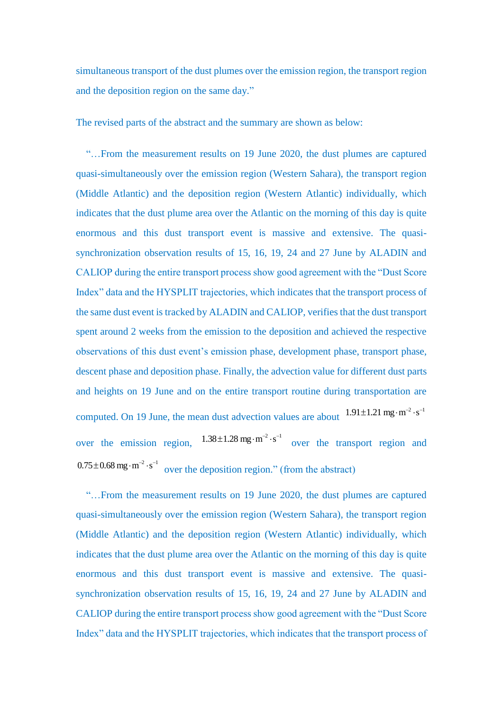simultaneous transport of the dust plumes over the emission region, the transport region and the deposition region on the same day."

The revised parts of the abstract and the summary are shown as below:

"…From the measurement results on 19 June 2020, the dust plumes are captured quasi-simultaneously over the emission region (Western Sahara), the transport region (Middle Atlantic) and the deposition region (Western Atlantic) individually, which indicates that the dust plume area over the Atlantic on the morning of this day is quite enormous and this dust transport event is massive and extensive. The quasisynchronization observation results of 15, 16, 19, 24 and 27 June by ALADIN and CALIOP during the entire transport process show good agreement with the "Dust Score Index" data and the HYSPLIT trajectories, which indicates that the transport process of the same dust event is tracked by ALADIN and CALIOP, verifies that the dust transport spent around 2 weeks from the emission to the deposition and achieved the respective observations of this dust event's emission phase, development phase, transport phase, descent phase and deposition phase. Finally, the advection value for different dust parts and heights on 19 June and on the entire transport routine during transportation are computed. On 19 June, the mean dust advection values are about  $1.91 \pm 1.21$  mg $\cdot$ m<sup>-2</sup> $\cdot$ s<sup>-1</sup> over the emission region,  $1.38 \pm 1.28$  mg $\cdot$ m<sup>-2</sup> $\cdot$ s<sup>-1</sup> over the transport region and  $0.75 \pm 0.68$  mg $\cdot$ m<sup>-2</sup> $\cdot$ s<sup>-1</sup> over the deposition region." (from the abstract)

"…From the measurement results on 19 June 2020, the dust plumes are captured quasi-simultaneously over the emission region (Western Sahara), the transport region (Middle Atlantic) and the deposition region (Western Atlantic) individually, which indicates that the dust plume area over the Atlantic on the morning of this day is quite enormous and this dust transport event is massive and extensive. The quasisynchronization observation results of 15, 16, 19, 24 and 27 June by ALADIN and CALIOP during the entire transport process show good agreement with the "Dust Score Index" data and the HYSPLIT trajectories, which indicates that the transport process of